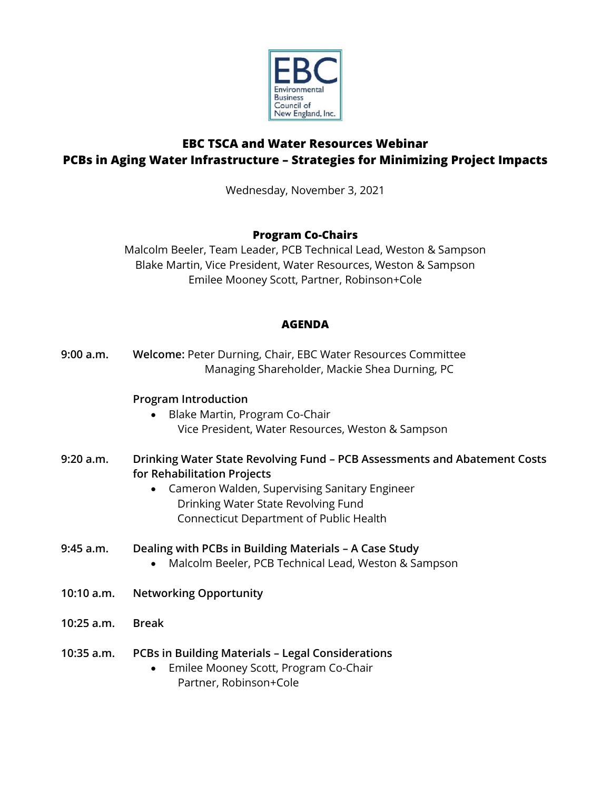

# **EBC TSCA and Water Resources Webinar PCBs in Aging Water Infrastructure – Strategies for Minimizing Project Impacts**

Wednesday, November 3, 2021

## **Program Co-Chairs**

Malcolm Beeler, Team Leader, PCB Technical Lead, Weston & Sampson Blake Martin, Vice President, Water Resources, Weston & Sampson Emilee Mooney Scott, Partner, Robinson+Cole

### **AGENDA**

| 9:00 a.m.    | Welcome: Peter Durning, Chair, EBC Water Resources Committee<br>Managing Shareholder, Mackie Shea Durning, PC                                                                                                                                            |
|--------------|----------------------------------------------------------------------------------------------------------------------------------------------------------------------------------------------------------------------------------------------------------|
|              | <b>Program Introduction</b><br>Blake Martin, Program Co-Chair<br>Vice President, Water Resources, Weston & Sampson                                                                                                                                       |
| 9:20 a.m.    | Drinking Water State Revolving Fund - PCB Assessments and Abatement Costs<br>for Rehabilitation Projects<br>Cameron Walden, Supervising Sanitary Engineer<br>$\bullet$<br>Drinking Water State Revolving Fund<br>Connecticut Department of Public Health |
| 9:45 a.m.    | Dealing with PCBs in Building Materials - A Case Study<br>Malcolm Beeler, PCB Technical Lead, Weston & Sampson<br>$\bullet$                                                                                                                              |
| 10:10 a.m.   | <b>Networking Opportunity</b>                                                                                                                                                                                                                            |
| 10:25 a.m.   | <b>Break</b>                                                                                                                                                                                                                                             |
| $10:35$ a.m. | <b>PCBs in Building Materials - Legal Considerations</b><br>Emilee Mooney Scott, Program Co-Chair<br>$\bullet$<br>Partner, Robinson+Cole                                                                                                                 |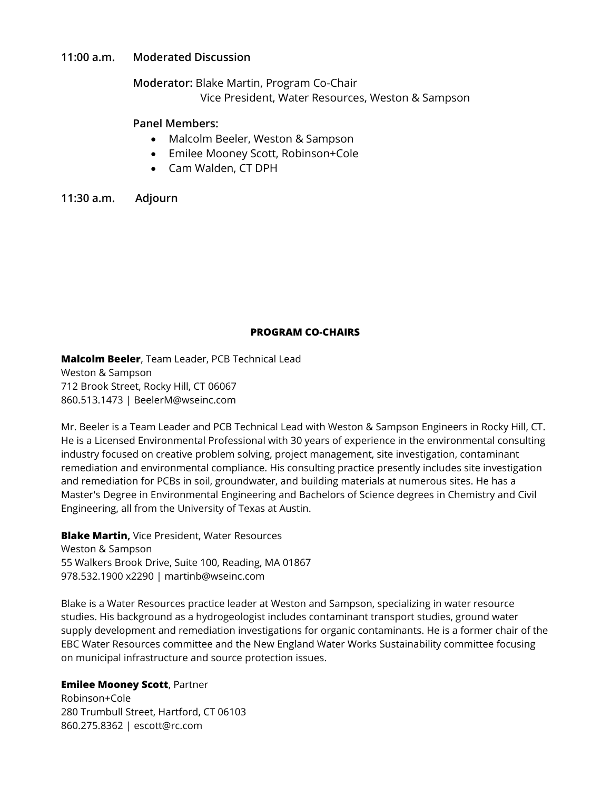#### **11:00 a.m. Moderated Discussion**

**Moderator:** Blake Martin, Program Co-Chair

Vice President, Water Resources, Weston & Sampson

#### **Panel Members:**

- Malcolm Beeler, Weston & Sampson
- Emilee Mooney Scott, Robinson+Cole
- Cam Walden, CT DPH

**11:30 a.m. Adjourn**

### **PROGRAM CO-CHAIRS**

**Malcolm Beeler**, Team Leader, PCB Technical Lead Weston & Sampson 712 Brook Street, Rocky Hill, CT 06067 860.513.1473 | BeelerM@wseinc.com

Mr. Beeler is a Team Leader and PCB Technical Lead with Weston & Sampson Engineers in Rocky Hill, CT. He is a Licensed Environmental Professional with 30 years of experience in the environmental consulting industry focused on creative problem solving, project management, site investigation, contaminant remediation and environmental compliance. His consulting practice presently includes site investigation and remediation for PCBs in soil, groundwater, and building materials at numerous sites. He has a Master's Degree in Environmental Engineering and Bachelors of Science degrees in Chemistry and Civil Engineering, all from the University of Texas at Austin.

**Blake Martin,** Vice President, Water Resources Weston & Sampson 55 Walkers Brook Drive, Suite 100, Reading, MA 01867 978.532.1900 x2290 | martinb@wseinc.com

Blake is a Water Resources practice leader at Weston and Sampson, specializing in water resource studies. His background as a hydrogeologist includes contaminant transport studies, ground water supply development and remediation investigations for organic contaminants. He is a former chair of the EBC Water Resources committee and the New England Water Works Sustainability committee focusing on municipal infrastructure and source protection issues.

#### **Emilee Mooney Scott**, Partner

Robinson+Cole 280 Trumbull Street, Hartford, CT 06103 860.275.8362 | escott@rc.com